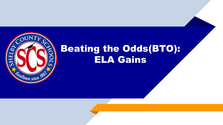

# Beating the Odds(BTO): ELA Gains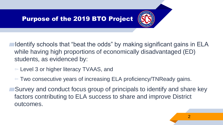

- ▰Identify schools that "beat the odds" by making significant gains in ELA while having high proportions of economically disadvantaged (ED) students, as evidenced by:
- ▻ Level 3 or higher literacy TVAAS, and
- $\triangleright$  Two consecutive years of increasing ELA proficiency/TNReady gains.
- ▰Survey and conduct focus group of principals to identify and share key factors contributing to ELA success to share and improve District outcomes.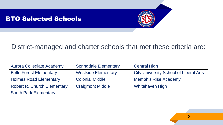#### BTO Selected Schools



#### District-managed and charter schools that met these criteria are:

| Aurora Collegiate Academy          | <b>Springdale Elementary</b> | <b>Central High</b>                           |
|------------------------------------|------------------------------|-----------------------------------------------|
| <b>Belle Forest Elementary</b>     | <b>Westside Elementary</b>   | <b>City University School of Liberal Arts</b> |
| <b>Holmes Road Elementary</b>      | <b>Colonial Middle</b>       | <b>Memphis Rise Academy</b>                   |
| <b>Robert R. Church Elementary</b> | <b>Craigmont Middle</b>      | <b>Whitehaven High</b>                        |
| <b>South Park Elementary</b>       |                              |                                               |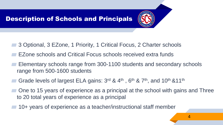- ▰ 3 Optional, 3 EZone, 1 Priority, 1 Critical Focus, 2 Charter schools
- EZone schools and Critical Focus schools received extra funds
- Elementary schools range from 300-1100 students and secondary schools range from 500-1600 students
- Grade levels of largest ELA gains: 3<sup>rd</sup> & 4<sup>th</sup>, 6<sup>th</sup> & 7<sup>th</sup>, and 10<sup>th</sup> &11<sup>th</sup>
- One to 15 years of experience as a principal at the school with gains and Three to 20 total years of experience as a principal
- ▰ 10+ years of experience as a teacher/instructional staff member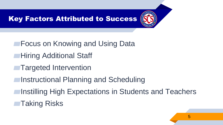

- ▰Focus on Knowing and Using Data
- **■Hiring Additional Staff**
- **■Targeted Intervention**
- ▰Instructional Planning and Scheduling
- ▰Instilling High Expectations in Students and Teachers
- ■Taking Risks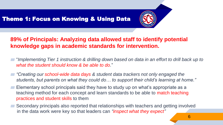## Theme 1: Focus on Knowing & Using Data



#### **89% of Principals: Analyzing data allowed staff to identify potential knowledge gaps in academic standards for intervention.**

- ▰ "*Implementing Tier 1 instruction & drilling down based on data in an effort to drill back up to what the student should know & be able to do.*"
- ▰ *"Creating our school-wide data days & student data trackers not only engaged the students, but parents on what they could do… to support their child's learning at home."*
- Elementary school principals said they have to study up on what's appropriate as a teaching method for each concept and learn standards to be able to match teaching practices and student skills to them
- Secondary principals also reported that relationships with teachers and getting involved in the data work were key so that leaders can *"inspect what they expect"*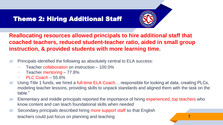## Theme 2: Hiring Additional Staff



**Reallocating resources allowed principals to hire additional staff that coached teachers, reduced student-teacher ratio, aided in small group instruction, & provided students with more learning time.**

- Principals identified the following as absolutely central to ELA success:
	- $\triangleright$  Teacher collaboration on instruction 100.0%
	- $\triangleright$  Teacher mentoring 77.8%
	- $\triangleright$  PLC Coach 55.6%
- Using Title 1 funds, we hired a full-time ELA Coach... responsible for looking at data, creating PLCs, modeling teacher lessons, providing skills to unpack standards and aligned them with the task on the table."
- Elementary and middle principals reported the importance of hiring experienced, top teachers who know content and can teach foundational skills when needed
- Secondary principals described hiring more support staff so that English teachers could just focus on planning and teaching 7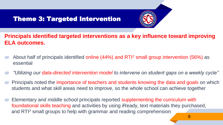## Theme 3: Targeted Intervention



- **Principals identified targeted interventions as a key influence toward improving ELA outcomes.**
- About half of principals identified online (44%) and RTI<sup>2</sup> small group intervention (56%) as essential
- ▰ *"Utilizing our data-directed intervention model to intervene on student gaps on a weekly cycle"*
- Principals noted the importance of teachers and students knowing the data and goals on which students and what skill areas need to improve, so the whole school can achieve together
- Elementary and middle school principals reported supplementing the curriculum with foundational skills teaching and activities by using iReady, text materials they purchased, and RTI<sup>2</sup> small groups to help with grammar and reading comprehension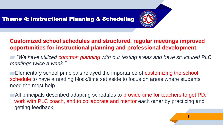

#### **Customized school schedules and structured, regular meetings improved opportunities for instructional planning and professional development.**

▰ *"We have utilized common planning with our testing areas and have structured PLC meetings twice a week."*

■Elementary school principals relayed the importance of customizing the school schedule to have a reading block/time set aside to focus on areas where students need the most help

▰All principals described adapting schedules to provide time for teachers to get PD, work with PLC coach, and to collaborate and mentor each other by practicing and getting feedback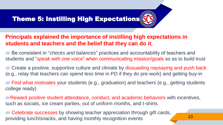## Theme 5: Instilling High Expectations

#### **Principals explained the importance of instilling high expectations in students and teachers and the belief that they can do it.**

▰ Be consistent in "*checks and balances*" practices and accountability of teachers and students and "*speak with one voice*" when communicating mission/goals so as to build trust

■ Create a positive, supportive culture and climate by dissuading naysaying and push back (e.g., relay that teachers can spend less time in PD if they do pre-work) and getting buy-in

▰ Find what motivates your students (e.g., graduation) and teachers (e.g., getting students college ready)

**■Reward positive student attendance, conduct, and academic behaviors with incentives,** such as socials, ice cream parties, out of uniform months, and t-shirts

**■ Celebrate successes** by showing teacher appreciation through gift cards, providing lunch/snacks, and having monthly recognition events 10